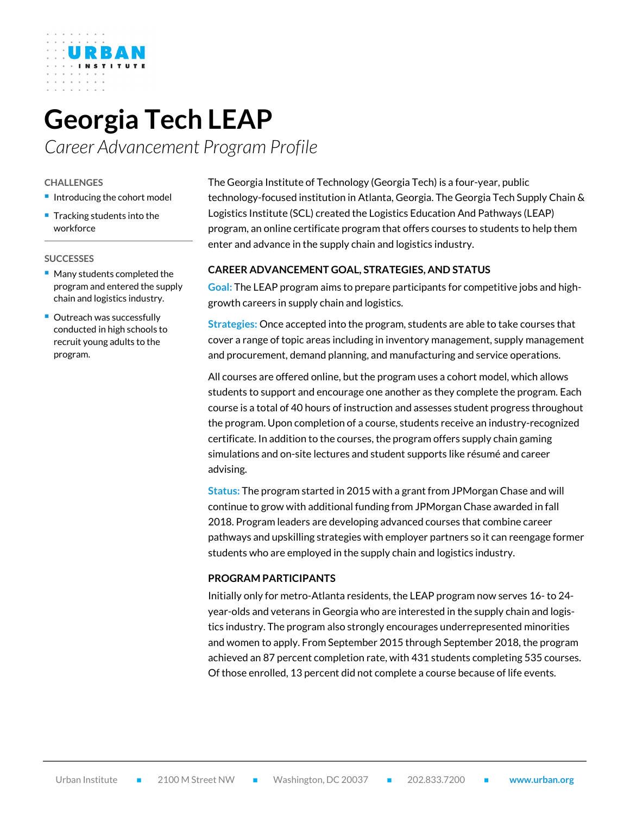# **Georgia Tech LEAP**

*Career Advancement Program Profile*

#### **CHALLENGES**

- **Introducing the cohort model**
- **Tracking students into the** workforce

#### **SUCCESSES**

- **Many students completed the** program and entered the supply chain and logistics industry.
- **Outreach was successfully** conducted in high schools to recruit young adults to the program.

The Georgia Institute of Technology (Georgia Tech) is a four-year, public technology-focused institution in Atlanta, Georgia. The Georgia Tech Supply Chain & Logistics Institute (SCL) created the Logistics Education And Pathways (LEAP) program, an online certificate program that offers courses to students to help them enter and advance in the supply chain and logistics industry.

# **CAREER ADVANCEMENT GOAL, STRATEGIES, AND STATUS**

**Goal:** The LEAP program aims to prepare participants for competitive jobs and highgrowth careers in supply chain and logistics.

**Strategies:** Once accepted into the program, students are able to take courses that cover a range of topic areas including in inventory management, supply management and procurement, demand planning, and manufacturing and service operations.

All courses are offered online, but the program uses a cohort model, which allows students to support and encourage one another as they complete the program. Each course is a total of 40 hours of instruction and assesses student progress throughout the program. Upon completion of a course, students receive an industry-recognized certificate. In addition to the courses, the program offers supply chain gaming simulations and on-site lectures and student supports like résumé and career advising.

**Status:** The program started in 2015 with a grant from JPMorgan Chase and will continue to grow with additional funding from JPMorgan Chase awarded in fall 2018. Program leaders are developing advanced courses that combine career pathways and upskilling strategies with employer partners so it can reengage former students who are employed in the supply chain and logistics industry.

### **PROGRAM PARTICIPANTS**

Initially only for metro-Atlanta residents, the LEAP program now serves 16- to 24 year-olds and veterans in Georgia who are interested in the supply chain and logistics industry. The program also strongly encourages underrepresented minorities and women to apply. From September 2015 through September 2018, the program achieved an 87 percent completion rate, with 431 students completing 535 courses. Of those enrolled, 13 percent did not complete a course because of life events.